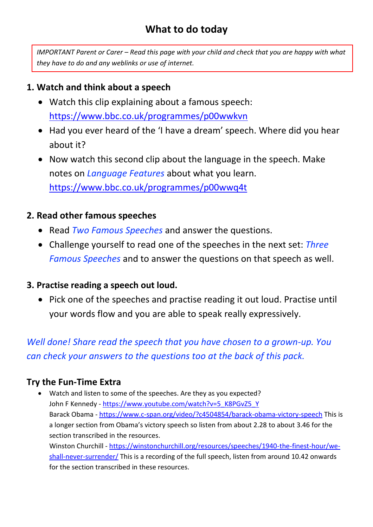*IMPORTANT Parent or Carer – Read this page with your child and check that you are happy with what they have to do and any weblinks or use of internet.* 

## **1. Watch and think about a speech**

- Watch this clip explaining about a famous speech: <https://www.bbc.co.uk/programmes/p00wwkvn>
- Had you ever heard of the 'I have a dream' speech. Where did you hear about it?
- Now watch this second clip about the language in the speech. Make notes on *Language Features* about what you learn. <https://www.bbc.co.uk/programmes/p00wwq4t>

# **2. Read other famous speeches**

- Read *Two Famous Speeches* and answer the questions.
- Challenge yourself to read one of the speeches in the next set: *Three Famous Speeches* and to answer the questions on that speech as well.

# **3. Practise reading a speech out loud.**

• Pick one of the speeches and practise reading it out loud. Practise until your words flow and you are able to speak really expressively.

*Well done! Share read the speech that you have chosen to a grown-up. You can check your answers to the questions too at the back of this pack.* 

# **Try the Fun-Time Extra**

 Watch and listen to some of the speeches. Are they as you expected? John F Kennedy - [https://www.youtube.com/watch?v=5\\_K8PGvZ5\\_Y](https://www.youtube.com/watch?v=5_K8PGvZ5_Y) Barack Obama - <https://www.c-span.org/video/?c4504854/barack-obama-victory-speech> This is a longer section from Obama's victory speech so listen from about 2.28 to about 3.46 for the section transcribed in the resources. Winston Churchill - [https://winstonchurchill.org/resources/speeches/1940-the-finest-hour/we](https://winstonchurchill.org/resources/speeches/1940-the-finest-hour/we-shall-never-surrender/)[shall-never-surrender/](https://winstonchurchill.org/resources/speeches/1940-the-finest-hour/we-shall-never-surrender/) This is a recording of the full speech, listen from around 10.42 onwards for the section transcribed in these resources.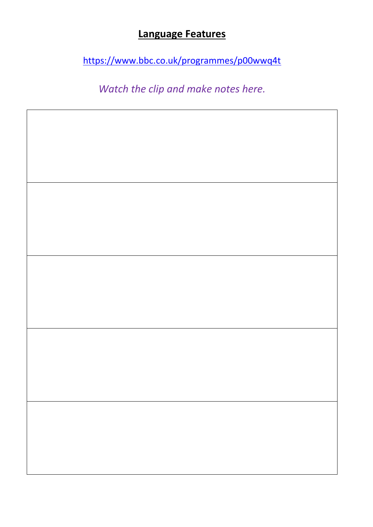# **Language Features**

<https://www.bbc.co.uk/programmes/p00wwq4t>

*Watch the clip and make notes here.*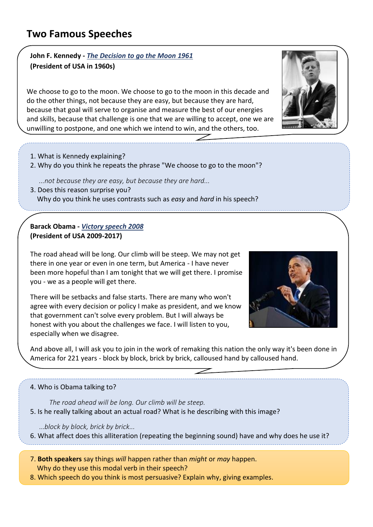### **John F. Kennedy -** *The Decision to go the Moon 1961*  **(President of USA in 1960s)**

We choose to go to the moon. We choose to go to the moon in this decade and do the other things, not because they are easy, but because they are hard, because that goal will serve to organise and measure the best of our energies and skills, because that challenge is one that we are willing to accept, one we are unwilling to postpone, and one which we intend to win, and the others, too.

- 1. What is Kennedy explaining?
- 2. Why do you think he repeats the phrase "We choose to go to the moon"?

*...not because they are easy, but because they are hard...*

3. Does this reason surprise you? Why do you think he uses contrasts such as *easy* and *hard* in his speech?

### **Barack Obama -** *Victory speech 2008* **(President of USA 2009-2017)**

The road ahead will be long. Our climb will be steep. We may not get there in one year or even in one term, but America - I have never been more hopeful than I am tonight that we will get there. I promise you - we as a people will get there.

There will be setbacks and false starts. There are many who won't agree with every decision or policy I make as president, and we know that government can't solve every problem. But I will always be honest with you about the challenges we face. I will listen to you, especially when we disagree.

And above all, I will ask you to join in the work of remaking this nation the only way it's been done in America for 221 years - block by block, brick by brick, calloused hand by calloused hand.

#### 4. Who is Obama talking to?

*The road ahead will be long. Our climb will be steep.*  5. Is he really talking about an actual road? What is he describing with this image?

...*block by block, brick by brick...*

6. What affect does this alliteration (repeating the beginning sound) have and why does he use it?

7. **Both speakers** say things *will* happen rather than *might* or *may* happen. Why do they use this modal verb in their speech?

8. Which speech do you think is most persuasive? Explain why, giving examples.



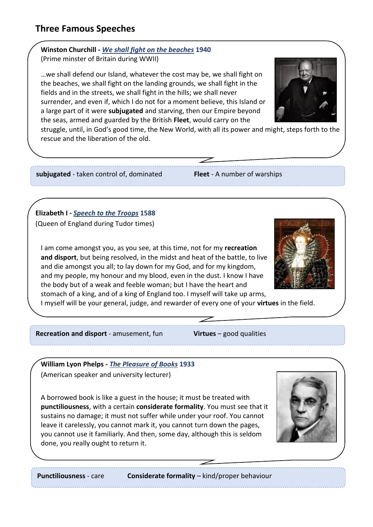## **Three Famous Speeches**

### **Winston Churchill -** *We shall fight on the beaches* **1940** (Prime minster of Britain during WWII)

…we shall defend our Island, whatever the cost may be, we shall fight on the beaches, we shall fight on the landing grounds, we shall fight in the fields and in the streets, we shall fight in the hills; we shall never surrender, and even if, which I do not for a moment believe, this Island or a large part of it were **subjugated** and starving, then our Empire beyond the seas, armed and guarded by the British **Fleet**, would carry on the



struggle, until, in God's good time, the New World, with all its power and might, steps forth to the rescue and the liberation of the old.

#### **subjugated** - taken control of, dominated **Fleet** - A number of warships

### **Elizabeth I -** *Speech to the Troops* **1588**

(Queen of England during Tudor times)

I am come amongst you, as you see, at this time, not for my **recreation and disport**, but being resolved, in the midst and heat of the battle, to live and die amongst you all; to lay down for my God, and for my kingdom, and my people, my honour and my blood, even in the dust. I know I have the body but of a weak and feeble woman; but I have the heart and stomach of a king, and of a king of England too. I myself will take up arms,



I myself will be your general, judge, and rewarder of every one of your **virtues** in the field.

**Recreation and disport** - amusement, fun **Virtues** – good qualities

**William Lyon Phelps -** *The Pleasure of Books* **1933** (American speaker and university lecturer)

A borrowed book is like a guest in the house; it must be treated with **punctiliousness**, with a certain **considerate formality**. You must see that it sustains no damage; it must not suffer while under your roof. You cannot leave it carelessly, you cannot mark it, you cannot turn down the pages, you cannot use it familiarly. And then, some day, although this is seldom done, you really ought to return it.



 $\overline{a}$ 

**Punctiliousness** - care **Considerate formality** – kind/proper behaviour